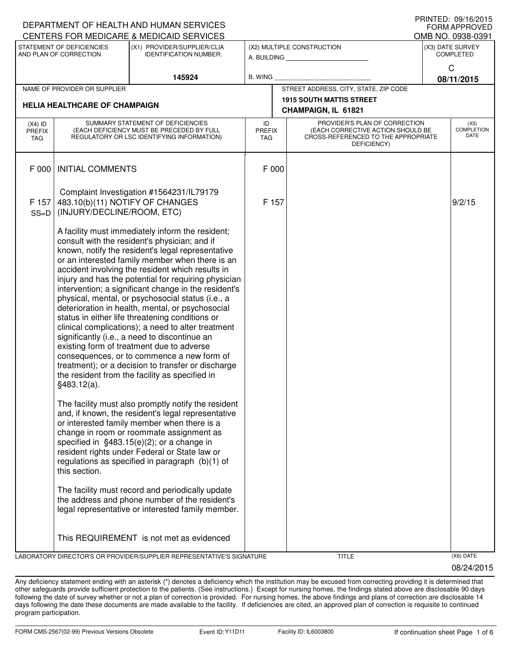|                                   |                                                                                                                                                                                                                                                                                                                                                                                                                                                                                                                                                                                                                                                                                                                                                                                                                                                                    | DEPARTMENT OF HEALTH AND HUMAN SERVICES                                                                                                                                                                                                                                                                                                                |                                                              |                                                        |                                                                                                                          |                                      | <b>FORM APPROVED</b>       |  |  |
|-----------------------------------|--------------------------------------------------------------------------------------------------------------------------------------------------------------------------------------------------------------------------------------------------------------------------------------------------------------------------------------------------------------------------------------------------------------------------------------------------------------------------------------------------------------------------------------------------------------------------------------------------------------------------------------------------------------------------------------------------------------------------------------------------------------------------------------------------------------------------------------------------------------------|--------------------------------------------------------------------------------------------------------------------------------------------------------------------------------------------------------------------------------------------------------------------------------------------------------------------------------------------------------|--------------------------------------------------------------|--------------------------------------------------------|--------------------------------------------------------------------------------------------------------------------------|--------------------------------------|----------------------------|--|--|
|                                   |                                                                                                                                                                                                                                                                                                                                                                                                                                                                                                                                                                                                                                                                                                                                                                                                                                                                    | CENTERS FOR MEDICARE & MEDICAID SERVICES                                                                                                                                                                                                                                                                                                               |                                                              |                                                        |                                                                                                                          |                                      | OMB NO. 0938-0391          |  |  |
|                                   | STATEMENT OF DEFICIENCIES<br>AND PLAN OF CORRECTION                                                                                                                                                                                                                                                                                                                                                                                                                                                                                                                                                                                                                                                                                                                                                                                                                | (X1) PROVIDER/SUPPLIER/CLIA<br><b>IDENTIFICATION NUMBER:</b>                                                                                                                                                                                                                                                                                           | (X2) MULTIPLE CONSTRUCTION<br>A. BUILDING <b>A.</b> BUILDING |                                                        |                                                                                                                          | (X3) DATE SURVEY<br><b>COMPLETED</b> |                            |  |  |
|                                   |                                                                                                                                                                                                                                                                                                                                                                                                                                                                                                                                                                                                                                                                                                                                                                                                                                                                    | 145924                                                                                                                                                                                                                                                                                                                                                 | <b>B. WING</b>                                               |                                                        |                                                                                                                          |                                      | $\mathsf{C}$<br>08/11/2015 |  |  |
|                                   | NAME OF PROVIDER OR SUPPLIER                                                                                                                                                                                                                                                                                                                                                                                                                                                                                                                                                                                                                                                                                                                                                                                                                                       |                                                                                                                                                                                                                                                                                                                                                        |                                                              | STREET ADDRESS, CITY, STATE, ZIP CODE                  |                                                                                                                          |                                      |                            |  |  |
|                                   | <b>HELIA HEALTHCARE OF CHAMPAIGN</b>                                                                                                                                                                                                                                                                                                                                                                                                                                                                                                                                                                                                                                                                                                                                                                                                                               |                                                                                                                                                                                                                                                                                                                                                        |                                                              | <b>1915 SOUTH MATTIS STREET</b><br>CHAMPAIGN, IL 61821 |                                                                                                                          |                                      |                            |  |  |
| $(X4)$ ID<br><b>PREFIX</b><br>TAG | SUMMARY STATEMENT OF DEFICIENCIES<br>(EACH DEFICIENCY MUST BE PRECEDED BY FULL<br>REGULATORY OR LSC IDENTIFYING INFORMATION)                                                                                                                                                                                                                                                                                                                                                                                                                                                                                                                                                                                                                                                                                                                                       |                                                                                                                                                                                                                                                                                                                                                        | ID<br><b>PREFIX</b><br>TAG                                   |                                                        | PROVIDER'S PLAN OF CORRECTION<br>(EACH CORRECTIVE ACTION SHOULD BE<br>CROSS-REFERENCED TO THE APPROPRIATE<br>DEFICIENCY) | (X5)<br><b>COMPLETION</b><br>DATE    |                            |  |  |
| F 000                             | <b>INITIAL COMMENTS</b>                                                                                                                                                                                                                                                                                                                                                                                                                                                                                                                                                                                                                                                                                                                                                                                                                                            |                                                                                                                                                                                                                                                                                                                                                        | F 000                                                        |                                                        |                                                                                                                          |                                      |                            |  |  |
| F 157<br>$SS=D$                   | 483.10(b)(11) NOTIFY OF CHANGES<br>(INJURY/DECLINE/ROOM, ETC)                                                                                                                                                                                                                                                                                                                                                                                                                                                                                                                                                                                                                                                                                                                                                                                                      | Complaint Investigation #1564231/IL79179                                                                                                                                                                                                                                                                                                               | F 157                                                        |                                                        |                                                                                                                          |                                      | 9/2/15                     |  |  |
|                                   | A facility must immediately inform the resident;<br>consult with the resident's physician; and if<br>known, notify the resident's legal representative<br>or an interested family member when there is an<br>accident involving the resident which results in<br>injury and has the potential for requiring physician<br>intervention; a significant change in the resident's<br>physical, mental, or psychosocial status (i.e., a<br>deterioration in health, mental, or psychosocial<br>status in either life threatening conditions or<br>clinical complications); a need to alter treatment<br>significantly (i.e., a need to discontinue an<br>existing form of treatment due to adverse<br>consequences, or to commence a new form of<br>treatment); or a decision to transfer or discharge<br>the resident from the facility as specified in<br>§483.12(a). |                                                                                                                                                                                                                                                                                                                                                        |                                                              |                                                        |                                                                                                                          |                                      |                            |  |  |
|                                   | this section.                                                                                                                                                                                                                                                                                                                                                                                                                                                                                                                                                                                                                                                                                                                                                                                                                                                      | The facility must also promptly notify the resident<br>and, if known, the resident's legal representative<br>or interested family member when there is a<br>change in room or roommate assignment as<br>specified in §483.15(e)(2); or a change in<br>resident rights under Federal or State law or<br>regulations as specified in paragraph (b)(1) of |                                                              |                                                        |                                                                                                                          |                                      |                            |  |  |
|                                   |                                                                                                                                                                                                                                                                                                                                                                                                                                                                                                                                                                                                                                                                                                                                                                                                                                                                    | The facility must record and periodically update<br>the address and phone number of the resident's<br>legal representative or interested family member.                                                                                                                                                                                                |                                                              |                                                        |                                                                                                                          |                                      |                            |  |  |
|                                   |                                                                                                                                                                                                                                                                                                                                                                                                                                                                                                                                                                                                                                                                                                                                                                                                                                                                    | This REQUIREMENT is not met as evidenced                                                                                                                                                                                                                                                                                                               |                                                              |                                                        |                                                                                                                          |                                      |                            |  |  |
|                                   |                                                                                                                                                                                                                                                                                                                                                                                                                                                                                                                                                                                                                                                                                                                                                                                                                                                                    | LABORATORY DIRECTOR'S OR PROVIDER/SUPPLIER REPRESENTATIVE'S SIGNATURE                                                                                                                                                                                                                                                                                  |                                                              |                                                        | <b>TITLE</b>                                                                                                             |                                      | (X6) DATE                  |  |  |

08/24/2015

PRINTED: 09/16/2015

Any deficiency statement ending with an asterisk (\*) denotes a deficiency which the institution may be excused from correcting providing it is determined that other safeguards provide sufficient protection to the patients. (See instructions.) Except for nursing homes, the findings stated above are disclosable 90 days following the date of survey whether or not a plan of correction is provided. For nursing homes, the above findings and plans of correction are disclosable 14 days following the date these documents are made available to the facility. If deficiencies are cited, an approved plan of correction is requisite to continued program participation.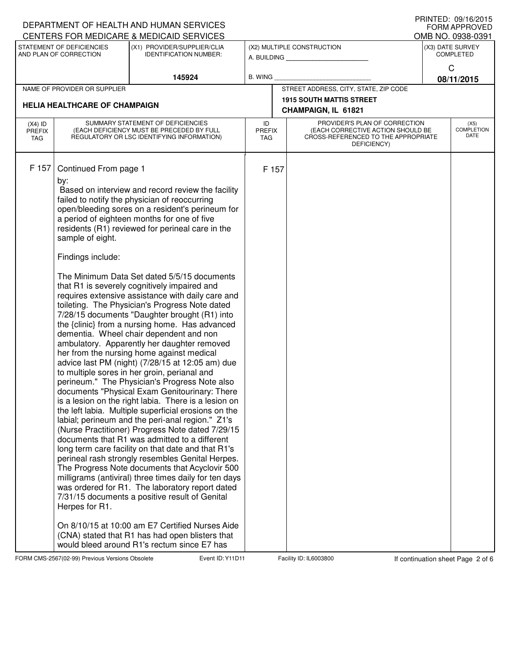|                                                                                      |                                                                                                                              | DEPARTMENT OF HEALTH AND HUMAN SERVICES                                                                      |                     |                                           |                                                                    |                   | I I III I LL . UJ/I U/LU I J<br>FORM APPROVED |  |  |  |
|--------------------------------------------------------------------------------------|------------------------------------------------------------------------------------------------------------------------------|--------------------------------------------------------------------------------------------------------------|---------------------|-------------------------------------------|--------------------------------------------------------------------|-------------------|-----------------------------------------------|--|--|--|
|                                                                                      |                                                                                                                              | CENTERS FOR MEDICARE & MEDICAID SERVICES<br>(X1) PROVIDER/SUPPLIER/CLIA                                      |                     |                                           |                                                                    | OMB NO. 0938-0391 |                                               |  |  |  |
| STATEMENT OF DEFICIENCIES<br>AND PLAN OF CORRECTION<br><b>IDENTIFICATION NUMBER:</b> |                                                                                                                              |                                                                                                              |                     | (X2) MULTIPLE CONSTRUCTION<br>A. BUILDING | (X3) DATE SURVEY<br><b>COMPLETED</b>                               |                   |                                               |  |  |  |
|                                                                                      |                                                                                                                              |                                                                                                              |                     |                                           |                                                                    |                   | C                                             |  |  |  |
|                                                                                      |                                                                                                                              | 145924                                                                                                       | <b>B. WING</b>      |                                           |                                                                    |                   | 08/11/2015                                    |  |  |  |
|                                                                                      | NAME OF PROVIDER OR SUPPLIER                                                                                                 |                                                                                                              |                     | STREET ADDRESS, CITY, STATE, ZIP CODE     |                                                                    |                   |                                               |  |  |  |
|                                                                                      | <b>HELIA HEALTHCARE OF CHAMPAIGN</b>                                                                                         |                                                                                                              |                     | <b>1915 SOUTH MATTIS STREET</b>           |                                                                    |                   |                                               |  |  |  |
|                                                                                      |                                                                                                                              |                                                                                                              |                     |                                           | CHAMPAIGN, IL 61821                                                |                   |                                               |  |  |  |
| $(X4)$ ID<br><b>PREFIX</b>                                                           | SUMMARY STATEMENT OF DEFICIENCIES<br>(EACH DEFICIENCY MUST BE PRECEDED BY FULL<br>REGULATORY OR LSC IDENTIFYING INFORMATION) |                                                                                                              | ID<br><b>PREFIX</b> |                                           | PROVIDER'S PLAN OF CORRECTION<br>(EACH CORRECTIVE ACTION SHOULD BE |                   | (X5)<br><b>COMPLETION</b>                     |  |  |  |
| <b>TAG</b>                                                                           |                                                                                                                              |                                                                                                              | TAG.                |                                           | CROSS-REFERENCED TO THE APPROPRIATE                                |                   | <b>DATE</b>                                   |  |  |  |
|                                                                                      |                                                                                                                              |                                                                                                              |                     |                                           | DEFICIENCY)                                                        |                   |                                               |  |  |  |
| F 157                                                                                |                                                                                                                              |                                                                                                              |                     |                                           |                                                                    |                   |                                               |  |  |  |
|                                                                                      | Continued From page 1                                                                                                        |                                                                                                              | F 157               |                                           |                                                                    |                   |                                               |  |  |  |
|                                                                                      | by:                                                                                                                          | Based on interview and record review the facility                                                            |                     |                                           |                                                                    |                   |                                               |  |  |  |
|                                                                                      |                                                                                                                              | failed to notify the physician of reoccurring                                                                |                     |                                           |                                                                    |                   |                                               |  |  |  |
|                                                                                      |                                                                                                                              | open/bleeding sores on a resident's perineum for                                                             |                     |                                           |                                                                    |                   |                                               |  |  |  |
|                                                                                      |                                                                                                                              | a period of eighteen months for one of five                                                                  |                     |                                           |                                                                    |                   |                                               |  |  |  |
|                                                                                      | sample of eight.                                                                                                             | residents (R1) reviewed for perineal care in the                                                             |                     |                                           |                                                                    |                   |                                               |  |  |  |
|                                                                                      |                                                                                                                              |                                                                                                              |                     |                                           |                                                                    |                   |                                               |  |  |  |
|                                                                                      | Findings include:                                                                                                            |                                                                                                              |                     |                                           |                                                                    |                   |                                               |  |  |  |
|                                                                                      |                                                                                                                              | The Minimum Data Set dated 5/5/15 documents                                                                  |                     |                                           |                                                                    |                   |                                               |  |  |  |
|                                                                                      |                                                                                                                              | that R1 is severely cognitively impaired and                                                                 |                     |                                           |                                                                    |                   |                                               |  |  |  |
|                                                                                      |                                                                                                                              | requires extensive assistance with daily care and<br>toileting. The Physician's Progress Note dated          |                     |                                           |                                                                    |                   |                                               |  |  |  |
|                                                                                      |                                                                                                                              | 7/28/15 documents "Daughter brought (R1) into                                                                |                     |                                           |                                                                    |                   |                                               |  |  |  |
|                                                                                      |                                                                                                                              | the {clinic} from a nursing home. Has advanced                                                               |                     |                                           |                                                                    |                   |                                               |  |  |  |
|                                                                                      |                                                                                                                              | dementia. Wheel chair dependent and non                                                                      |                     |                                           |                                                                    |                   |                                               |  |  |  |
|                                                                                      |                                                                                                                              | ambulatory. Apparently her daughter removed<br>her from the nursing home against medical                     |                     |                                           |                                                                    |                   |                                               |  |  |  |
|                                                                                      |                                                                                                                              | advice last PM (night) (7/28/15 at 12:05 am) due                                                             |                     |                                           |                                                                    |                   |                                               |  |  |  |
|                                                                                      |                                                                                                                              | to multiple sores in her groin, perianal and                                                                 |                     |                                           |                                                                    |                   |                                               |  |  |  |
|                                                                                      |                                                                                                                              | perineum." The Physician's Progress Note also                                                                |                     |                                           |                                                                    |                   |                                               |  |  |  |
|                                                                                      |                                                                                                                              | documents "Physical Exam Genitourinary: There                                                                |                     |                                           |                                                                    |                   |                                               |  |  |  |
|                                                                                      |                                                                                                                              | is a lesion on the right labia. There is a lesion on<br>the left labia. Multiple superficial erosions on the |                     |                                           |                                                                    |                   |                                               |  |  |  |
|                                                                                      |                                                                                                                              | labial; perineum and the peri-anal region." Z1's                                                             |                     |                                           |                                                                    |                   |                                               |  |  |  |
|                                                                                      |                                                                                                                              | (Nurse Practitioner) Progress Note dated 7/29/15                                                             |                     |                                           |                                                                    |                   |                                               |  |  |  |
|                                                                                      |                                                                                                                              | documents that R1 was admitted to a different                                                                |                     |                                           |                                                                    |                   |                                               |  |  |  |
|                                                                                      |                                                                                                                              | long term care facility on that date and that R1's<br>perineal rash strongly resembles Genital Herpes.       |                     |                                           |                                                                    |                   |                                               |  |  |  |
|                                                                                      |                                                                                                                              | The Progress Note documents that Acyclovir 500                                                               |                     |                                           |                                                                    |                   |                                               |  |  |  |
|                                                                                      |                                                                                                                              | milligrams (antiviral) three times daily for ten days                                                        |                     |                                           |                                                                    |                   |                                               |  |  |  |
|                                                                                      |                                                                                                                              | was ordered for R1. The laboratory report dated                                                              |                     |                                           |                                                                    |                   |                                               |  |  |  |
|                                                                                      |                                                                                                                              | 7/31/15 documents a positive result of Genital                                                               |                     |                                           |                                                                    |                   |                                               |  |  |  |
|                                                                                      | Herpes for R1.                                                                                                               |                                                                                                              |                     |                                           |                                                                    |                   |                                               |  |  |  |
|                                                                                      |                                                                                                                              | On 8/10/15 at 10:00 am E7 Certified Nurses Aide                                                              |                     |                                           |                                                                    |                   |                                               |  |  |  |
|                                                                                      |                                                                                                                              | (CNA) stated that R1 has had open blisters that                                                              |                     |                                           |                                                                    |                   |                                               |  |  |  |
|                                                                                      |                                                                                                                              | would bleed around R1's rectum since E7 has                                                                  |                     |                                           |                                                                    |                   |                                               |  |  |  |

FORM CMS-2567(02-99) Previous Versions Obsolete Event ID: Y11D11 Facility ID: IL6003800 If continuation sheet Page 2 of 6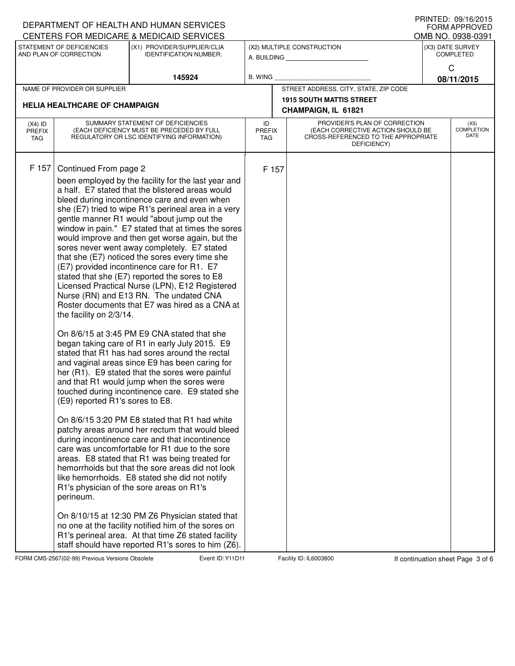|                                      |                                                                                                                              | DEPARTMENT OF HEALTH AND HUMAN SERVICES                                                                                                                                                                                                                                                                                                                                                                                                                                                                                                                                                                                                                                                                                                                                                                                                                                                                                                                                                                                                                                                                                                                                                                                                                                                                                                                                                                                                                                                                                                                                                                                                                  |                                   |                                       | U ININTED. UJ/IU/ZUIJ<br><b>FORM APPROVED</b>                                                                            |                                      |                            |
|--------------------------------------|------------------------------------------------------------------------------------------------------------------------------|----------------------------------------------------------------------------------------------------------------------------------------------------------------------------------------------------------------------------------------------------------------------------------------------------------------------------------------------------------------------------------------------------------------------------------------------------------------------------------------------------------------------------------------------------------------------------------------------------------------------------------------------------------------------------------------------------------------------------------------------------------------------------------------------------------------------------------------------------------------------------------------------------------------------------------------------------------------------------------------------------------------------------------------------------------------------------------------------------------------------------------------------------------------------------------------------------------------------------------------------------------------------------------------------------------------------------------------------------------------------------------------------------------------------------------------------------------------------------------------------------------------------------------------------------------------------------------------------------------------------------------------------------------|-----------------------------------|---------------------------------------|--------------------------------------------------------------------------------------------------------------------------|--------------------------------------|----------------------------|
|                                      |                                                                                                                              | CENTERS FOR MEDICARE & MEDICAID SERVICES                                                                                                                                                                                                                                                                                                                                                                                                                                                                                                                                                                                                                                                                                                                                                                                                                                                                                                                                                                                                                                                                                                                                                                                                                                                                                                                                                                                                                                                                                                                                                                                                                 |                                   |                                       |                                                                                                                          | OMB NO. 0938-0391                    |                            |
|                                      | STATEMENT OF DEFICIENCIES<br>AND PLAN OF CORRECTION                                                                          | (X1) PROVIDER/SUPPLIER/CLIA<br><b>IDENTIFICATION NUMBER:</b>                                                                                                                                                                                                                                                                                                                                                                                                                                                                                                                                                                                                                                                                                                                                                                                                                                                                                                                                                                                                                                                                                                                                                                                                                                                                                                                                                                                                                                                                                                                                                                                             |                                   |                                       | (X2) MULTIPLE CONSTRUCTION<br>A. BUILDING                                                                                | (X3) DATE SURVEY<br><b>COMPLETED</b> |                            |
|                                      |                                                                                                                              | 145924                                                                                                                                                                                                                                                                                                                                                                                                                                                                                                                                                                                                                                                                                                                                                                                                                                                                                                                                                                                                                                                                                                                                                                                                                                                                                                                                                                                                                                                                                                                                                                                                                                                   | <b>B. WING</b>                    |                                       |                                                                                                                          |                                      | C<br>08/11/2015            |
| NAME OF PROVIDER OR SUPPLIER         |                                                                                                                              |                                                                                                                                                                                                                                                                                                                                                                                                                                                                                                                                                                                                                                                                                                                                                                                                                                                                                                                                                                                                                                                                                                                                                                                                                                                                                                                                                                                                                                                                                                                                                                                                                                                          |                                   | STREET ADDRESS, CITY, STATE, ZIP CODE |                                                                                                                          |                                      |                            |
|                                      |                                                                                                                              |                                                                                                                                                                                                                                                                                                                                                                                                                                                                                                                                                                                                                                                                                                                                                                                                                                                                                                                                                                                                                                                                                                                                                                                                                                                                                                                                                                                                                                                                                                                                                                                                                                                          |                                   |                                       | <b>1915 SOUTH MATTIS STREET</b>                                                                                          |                                      |                            |
| <b>HELIA HEALTHCARE OF CHAMPAIGN</b> |                                                                                                                              |                                                                                                                                                                                                                                                                                                                                                                                                                                                                                                                                                                                                                                                                                                                                                                                                                                                                                                                                                                                                                                                                                                                                                                                                                                                                                                                                                                                                                                                                                                                                                                                                                                                          |                                   |                                       | CHAMPAIGN, IL 61821                                                                                                      |                                      |                            |
| $(X4)$ ID<br><b>PREFIX</b><br>TAG    | SUMMARY STATEMENT OF DEFICIENCIES<br>(EACH DEFICIENCY MUST BE PRECEDED BY FULL<br>REGULATORY OR LSC IDENTIFYING INFORMATION) |                                                                                                                                                                                                                                                                                                                                                                                                                                                                                                                                                                                                                                                                                                                                                                                                                                                                                                                                                                                                                                                                                                                                                                                                                                                                                                                                                                                                                                                                                                                                                                                                                                                          | ID<br><b>PREFIX</b><br><b>TAG</b> |                                       | PROVIDER'S PLAN OF CORRECTION<br>(EACH CORRECTIVE ACTION SHOULD BE<br>CROSS-REFERENCED TO THE APPROPRIATE<br>DEFICIENCY) |                                      | (X5)<br>COMPLETION<br>DATE |
| F 157                                | Continued From page 2<br>the facility on 2/3/14.<br>(E9) reported R1's sores to E8.<br>perineum.                             | been employed by the facility for the last year and<br>a half. E7 stated that the blistered areas would<br>bleed during incontinence care and even when<br>she (E7) tried to wipe R1's perineal area in a very<br>gentle manner R1 would "about jump out the<br>window in pain." E7 stated that at times the sores<br>would improve and then get worse again, but the<br>sores never went away completely. E7 stated<br>that she (E7) noticed the sores every time she<br>(E7) provided incontinence care for R1. E7<br>stated that she (E7) reported the sores to E8<br>Licensed Practical Nurse (LPN), E12 Registered<br>Nurse (RN) and E13 RN. The undated CNA<br>Roster documents that E7 was hired as a CNA at<br>On 8/6/15 at 3:45 PM E9 CNA stated that she<br>began taking care of R1 in early July 2015. E9<br>stated that R1 has had sores around the rectal<br>and vaginal areas since E9 has been caring for<br>her (R1). E9 stated that the sores were painful<br>and that R1 would jump when the sores were<br>touched during incontinence care. E9 stated she<br>On 8/6/15 3:20 PM E8 stated that R1 had white<br>patchy areas around her rectum that would bleed<br>during incontinence care and that incontinence<br>care was uncomfortable for R1 due to the sore<br>areas. E8 stated that R1 was being treated for<br>hemorrhoids but that the sore areas did not look<br>like hemorrhoids. E8 stated she did not notify<br>R1's physician of the sore areas on R1's<br>On 8/10/15 at 12:30 PM Z6 Physician stated that<br>no one at the facility notified him of the sores on<br>R1's perineal area. At that time Z6 stated facility |                                   | F 157                                 |                                                                                                                          |                                      |                            |
|                                      |                                                                                                                              | staff should have reported R1's sores to him (Z6).                                                                                                                                                                                                                                                                                                                                                                                                                                                                                                                                                                                                                                                                                                                                                                                                                                                                                                                                                                                                                                                                                                                                                                                                                                                                                                                                                                                                                                                                                                                                                                                                       |                                   |                                       |                                                                                                                          |                                      |                            |

FORM CMS-2567(02-99) Previous Versions Obsolete Event ID: Y11D11 Facility ID: IL6003800 If continuation sheet Page 3 of 6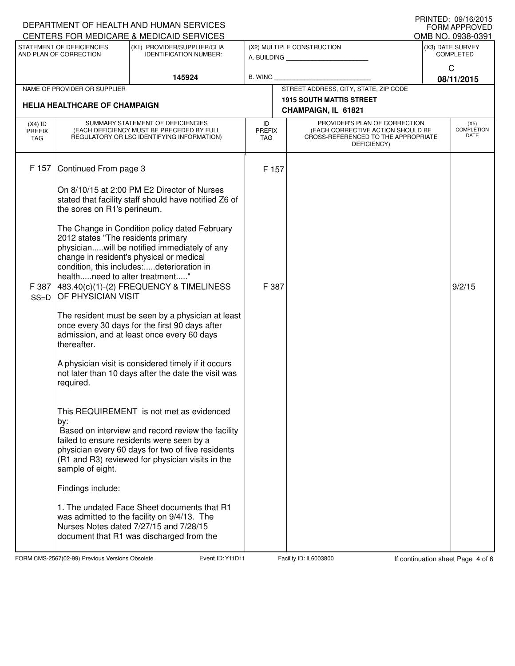|                                   |                                                                                                                              | DEPARTMENT OF HEALTH AND HUMAN SERVICES<br>CENTERS FOR MEDICARE & MEDICAID SERVICES                                                                                                                                                                 |                                   |                                                                                                                          |                                                           | FRINTED. 09/10/2013<br><b>FORM APPROVED</b> |
|-----------------------------------|------------------------------------------------------------------------------------------------------------------------------|-----------------------------------------------------------------------------------------------------------------------------------------------------------------------------------------------------------------------------------------------------|-----------------------------------|--------------------------------------------------------------------------------------------------------------------------|-----------------------------------------------------------|---------------------------------------------|
|                                   | STATEMENT OF DEFICIENCIES<br>AND PLAN OF CORRECTION                                                                          | (X1) PROVIDER/SUPPLIER/CLIA<br><b>IDENTIFICATION NUMBER:</b>                                                                                                                                                                                        |                                   | (X2) MULTIPLE CONSTRUCTION                                                                                               | OMB NO. 0938-0391<br>(X3) DATE SURVEY<br><b>COMPLETED</b> |                                             |
|                                   |                                                                                                                              |                                                                                                                                                                                                                                                     |                                   | A. BUILDING                                                                                                              |                                                           | C                                           |
|                                   |                                                                                                                              | 145924                                                                                                                                                                                                                                              | <b>B. WING</b>                    |                                                                                                                          |                                                           | 08/11/2015                                  |
|                                   | NAME OF PROVIDER OR SUPPLIER                                                                                                 |                                                                                                                                                                                                                                                     |                                   | STREET ADDRESS, CITY, STATE, ZIP CODE                                                                                    |                                                           |                                             |
|                                   | <b>HELIA HEALTHCARE OF CHAMPAIGN</b>                                                                                         |                                                                                                                                                                                                                                                     |                                   | <b>1915 SOUTH MATTIS STREET</b><br>CHAMPAIGN, IL 61821                                                                   |                                                           |                                             |
| $(X4)$ ID<br><b>PREFIX</b><br>TAG | SUMMARY STATEMENT OF DEFICIENCIES<br>(EACH DEFICIENCY MUST BE PRECEDED BY FULL<br>REGULATORY OR LSC IDENTIFYING INFORMATION) |                                                                                                                                                                                                                                                     | ID<br><b>PREFIX</b><br><b>TAG</b> | PROVIDER'S PLAN OF CORRECTION<br>(EACH CORRECTIVE ACTION SHOULD BE<br>CROSS-REFERENCED TO THE APPROPRIATE<br>DEFICIENCY) |                                                           | (X5)<br><b>COMPLETION</b><br><b>DATE</b>    |
| F 157                             | Continued From page 3                                                                                                        |                                                                                                                                                                                                                                                     | F 157                             |                                                                                                                          |                                                           |                                             |
|                                   | the sores on R1's perineum.                                                                                                  | On 8/10/15 at 2:00 PM E2 Director of Nurses<br>stated that facility staff should have notified Z6 of                                                                                                                                                |                                   |                                                                                                                          |                                                           |                                             |
| F 387<br>$SS=D$                   | 2012 states "The residents primary<br>healthneed to alter treatment"<br>OF PHYSICIAN VISIT                                   | The Change in Condition policy dated February<br>physicianwill be notified immediately of any<br>change in resident's physical or medical<br>condition, this includes:deterioration in<br>483.40(c)(1)-(2) FREQUENCY & TIMELINESS                   | F 387                             |                                                                                                                          |                                                           | 9/2/15                                      |
|                                   | thereafter.                                                                                                                  | The resident must be seen by a physician at least<br>once every 30 days for the first 90 days after<br>admission, and at least once every 60 days                                                                                                   |                                   |                                                                                                                          |                                                           |                                             |
|                                   | required.                                                                                                                    | A physician visit is considered timely if it occurs<br>not later than 10 days after the date the visit was                                                                                                                                          |                                   |                                                                                                                          |                                                           |                                             |
|                                   | by:<br>sample of eight.                                                                                                      | This REQUIREMENT is not met as evidenced<br>Based on interview and record review the facility<br>failed to ensure residents were seen by a<br>physician every 60 days for two of five residents<br>(R1 and R3) reviewed for physician visits in the |                                   |                                                                                                                          |                                                           |                                             |
|                                   | Findings include:                                                                                                            |                                                                                                                                                                                                                                                     |                                   |                                                                                                                          |                                                           |                                             |
|                                   |                                                                                                                              | 1. The undated Face Sheet documents that R1<br>was admitted to the facility on 9/4/13. The<br>Nurses Notes dated 7/27/15 and 7/28/15<br>document that R1 was discharged from the                                                                    |                                   |                                                                                                                          |                                                           |                                             |

FORM CMS-2567(02-99) Previous Versions Obsolete **Figure 10: Y11D11** Facility ID: IL6003800 If continuation sheet Page 4 of 6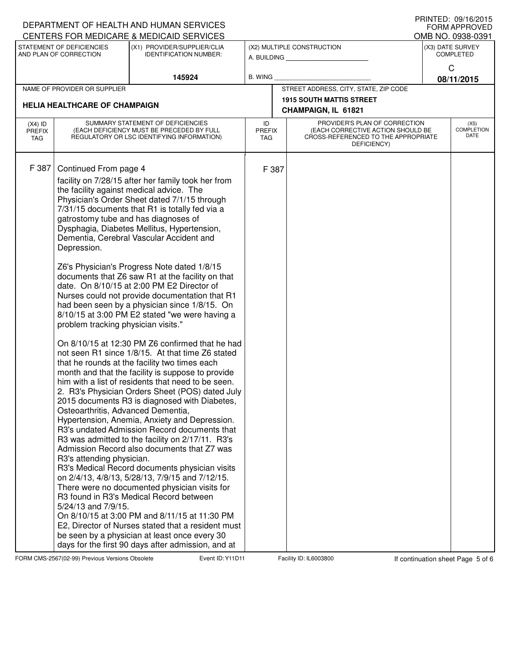| DEPARTMENT OF HEALTH AND HUMAN SERVICES<br>CENTERS FOR MEDICARE & MEDICAID SERVICES |                                                                                                                                                                                                               | FRIIVIEU. VYI 10/ZU I 3<br><b>FORM APPROVED</b><br>OMB NO. 0938-0391                                                                                                                                                                                                                                                                                                                                                                                                                                                                                                                                                                                                                                                                                                                                                                                                                                                                                                                                                                                                                                                                                                                                                                                                                                                                                                                                                                                                                                                                                                                        |                            |                                                                                                                          |                                                        |                 |                                      |
|-------------------------------------------------------------------------------------|---------------------------------------------------------------------------------------------------------------------------------------------------------------------------------------------------------------|---------------------------------------------------------------------------------------------------------------------------------------------------------------------------------------------------------------------------------------------------------------------------------------------------------------------------------------------------------------------------------------------------------------------------------------------------------------------------------------------------------------------------------------------------------------------------------------------------------------------------------------------------------------------------------------------------------------------------------------------------------------------------------------------------------------------------------------------------------------------------------------------------------------------------------------------------------------------------------------------------------------------------------------------------------------------------------------------------------------------------------------------------------------------------------------------------------------------------------------------------------------------------------------------------------------------------------------------------------------------------------------------------------------------------------------------------------------------------------------------------------------------------------------------------------------------------------------------|----------------------------|--------------------------------------------------------------------------------------------------------------------------|--------------------------------------------------------|-----------------|--------------------------------------|
|                                                                                     | STATEMENT OF DEFICIENCIES<br>AND PLAN OF CORRECTION                                                                                                                                                           | (X1) PROVIDER/SUPPLIER/CLIA<br><b>IDENTIFICATION NUMBER:</b>                                                                                                                                                                                                                                                                                                                                                                                                                                                                                                                                                                                                                                                                                                                                                                                                                                                                                                                                                                                                                                                                                                                                                                                                                                                                                                                                                                                                                                                                                                                                |                            |                                                                                                                          | (X2) MULTIPLE CONSTRUCTION<br>A. BUILDING              |                 | (X3) DATE SURVEY<br><b>COMPLETED</b> |
|                                                                                     |                                                                                                                                                                                                               | 145924                                                                                                                                                                                                                                                                                                                                                                                                                                                                                                                                                                                                                                                                                                                                                                                                                                                                                                                                                                                                                                                                                                                                                                                                                                                                                                                                                                                                                                                                                                                                                                                      | <b>B. WING</b>             |                                                                                                                          |                                                        | С<br>08/11/2015 |                                      |
| NAME OF PROVIDER OR SUPPLIER                                                        |                                                                                                                                                                                                               |                                                                                                                                                                                                                                                                                                                                                                                                                                                                                                                                                                                                                                                                                                                                                                                                                                                                                                                                                                                                                                                                                                                                                                                                                                                                                                                                                                                                                                                                                                                                                                                             |                            | STREET ADDRESS, CITY, STATE, ZIP CODE                                                                                    |                                                        |                 |                                      |
|                                                                                     | <b>HELIA HEALTHCARE OF CHAMPAIGN</b>                                                                                                                                                                          |                                                                                                                                                                                                                                                                                                                                                                                                                                                                                                                                                                                                                                                                                                                                                                                                                                                                                                                                                                                                                                                                                                                                                                                                                                                                                                                                                                                                                                                                                                                                                                                             |                            |                                                                                                                          | <b>1915 SOUTH MATTIS STREET</b><br>CHAMPAIGN, IL 61821 |                 |                                      |
| $(X4)$ ID<br><b>PREFIX</b><br>TAG                                                   | SUMMARY STATEMENT OF DEFICIENCIES<br>(EACH DEFICIENCY MUST BE PRECEDED BY FULL<br>REGULATORY OR LSC IDENTIFYING INFORMATION)                                                                                  |                                                                                                                                                                                                                                                                                                                                                                                                                                                                                                                                                                                                                                                                                                                                                                                                                                                                                                                                                                                                                                                                                                                                                                                                                                                                                                                                                                                                                                                                                                                                                                                             | ID<br><b>PREFIX</b><br>TAG | PROVIDER'S PLAN OF CORRECTION<br>(EACH CORRECTIVE ACTION SHOULD BE<br>CROSS-REFERENCED TO THE APPROPRIATE<br>DEFICIENCY) |                                                        |                 | (X5)<br><b>COMPLETION</b><br>DATE    |
| F 387                                                                               | Continued From page 4<br>gatrostomy tube and has diagnoses of<br>Depression.<br>problem tracking physician visits."<br>Osteoarthritis, Advanced Dementia,<br>R3's attending physician.<br>5/24/13 and 7/9/15. | facility on 7/28/15 after her family took her from<br>the facility against medical advice. The<br>Physician's Order Sheet dated 7/1/15 through<br>7/31/15 documents that R1 is totally fed via a<br>Dysphagia, Diabetes Mellitus, Hypertension,<br>Dementia, Cerebral Vascular Accident and<br>Z6's Physician's Progress Note dated 1/8/15<br>documents that Z6 saw R1 at the facility on that<br>date. On 8/10/15 at 2:00 PM E2 Director of<br>Nurses could not provide documentation that R1<br>had been seen by a physician since 1/8/15. On<br>8/10/15 at 3:00 PM E2 stated "we were having a<br>On 8/10/15 at 12:30 PM Z6 confirmed that he had<br>not seen R1 since 1/8/15. At that time Z6 stated<br>that he rounds at the facility two times each<br>month and that the facility is suppose to provide<br>him with a list of residents that need to be seen.<br>2. R3's Physician Orders Sheet (POS) dated July<br>2015 documents R3 is diagnosed with Diabetes,<br>Hypertension, Anemia, Anxiety and Depression.<br>R3's undated Admission Record documents that<br>R3 was admitted to the facility on 2/17/11. R3's<br>Admission Record also documents that Z7 was<br>R3's Medical Record documents physician visits<br>on 2/4/13, 4/8/13, 5/28/13, 7/9/15 and 7/12/15.<br>There were no documented physician visits for<br>R3 found in R3's Medical Record between<br>On 8/10/15 at 3:00 PM and 8/11/15 at 11:30 PM<br>E2, Director of Nurses stated that a resident must<br>be seen by a physician at least once every 30<br>days for the first 90 days after admission, and at |                            | F 387                                                                                                                    |                                                        |                 |                                      |

FORM CMS-2567(02-99) Previous Versions Obsolete **Figure 10: Y11D11** Facility ID: IL6003800 If continuation sheet Page 5 of 6